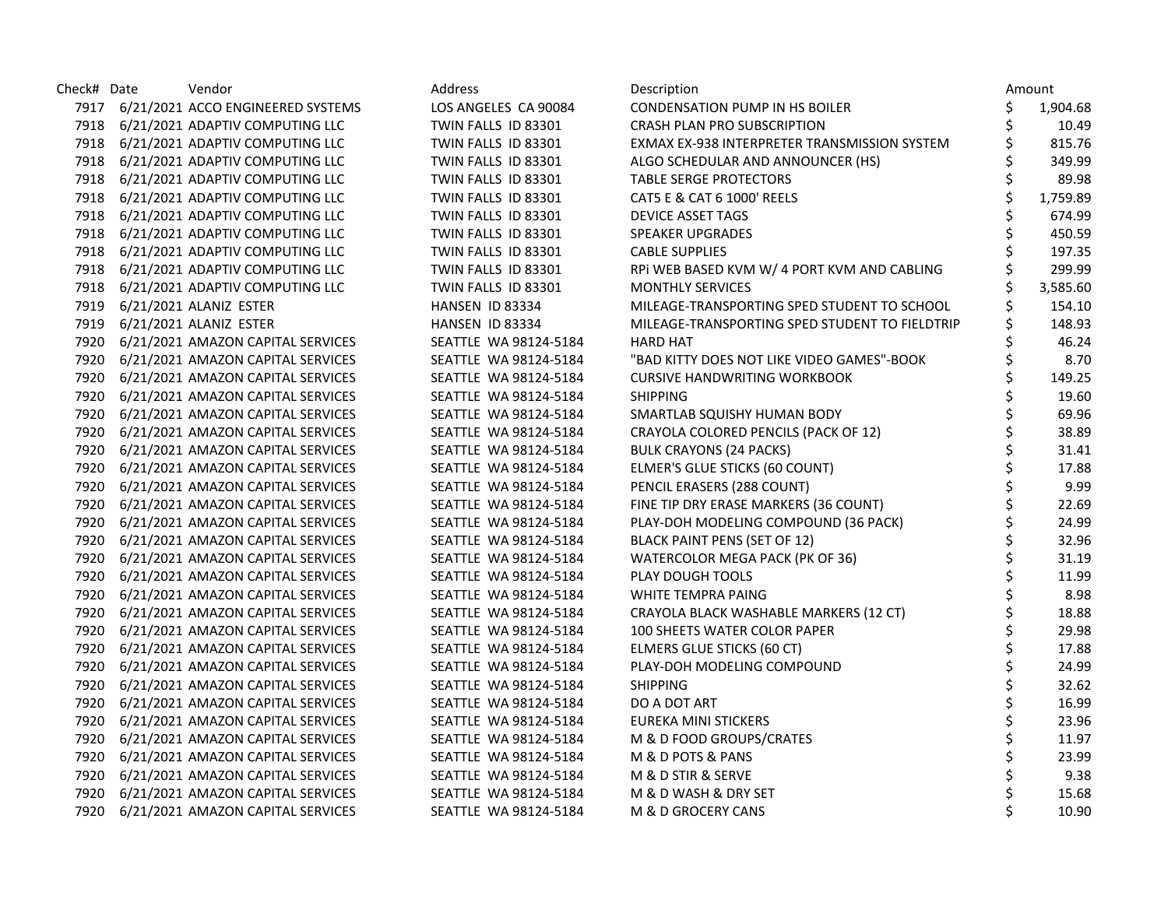| Check# Date | Vendor                                 | Address               | Description                                    |    | Amount   |
|-------------|----------------------------------------|-----------------------|------------------------------------------------|----|----------|
|             | 7917 6/21/2021 ACCO ENGINEERED SYSTEMS | LOS ANGELES CA 90084  | CONDENSATION PUMP IN HS BOILER                 | \$ | 1,904.68 |
|             | 7918 6/21/2021 ADAPTIV COMPUTING LLC   | TWIN FALLS ID 83301   | <b>CRASH PLAN PRO SUBSCRIPTION</b>             | \$ | 10.49    |
|             | 7918 6/21/2021 ADAPTIV COMPUTING LLC   | TWIN FALLS ID 83301   | EXMAX EX-938 INTERPRETER TRANSMISSION SYSTEM   | \$ | 815.76   |
|             | 7918 6/21/2021 ADAPTIV COMPUTING LLC   | TWIN FALLS ID 83301   | ALGO SCHEDULAR AND ANNOUNCER (HS)              | \$ | 349.99   |
|             | 7918 6/21/2021 ADAPTIV COMPUTING LLC   | TWIN FALLS ID 83301   | <b>TABLE SERGE PROTECTORS</b>                  | \$ | 89.98    |
|             | 7918 6/21/2021 ADAPTIV COMPUTING LLC   | TWIN FALLS ID 83301   | CAT5 E & CAT 6 1000' REELS                     | \$ | 1,759.89 |
|             | 7918 6/21/2021 ADAPTIV COMPUTING LLC   | TWIN FALLS ID 83301   | DEVICE ASSET TAGS                              | \$ | 674.99   |
|             | 7918 6/21/2021 ADAPTIV COMPUTING LLC   | TWIN FALLS ID 83301   | SPEAKER UPGRADES                               | \$ | 450.59   |
|             | 7918 6/21/2021 ADAPTIV COMPUTING LLC   | TWIN FALLS ID 83301   | <b>CABLE SUPPLIES</b>                          | \$ | 197.35   |
|             | 7918 6/21/2021 ADAPTIV COMPUTING LLC   | TWIN FALLS ID 83301   | RPI WEB BASED KVM W/ 4 PORT KVM AND CABLING    | \$ | 299.99   |
|             | 7918 6/21/2021 ADAPTIV COMPUTING LLC   | TWIN FALLS ID 83301   | <b>MONTHLY SERVICES</b>                        |    | 3,585.60 |
|             | 7919 6/21/2021 ALANIZ ESTER            | HANSEN ID 83334       | MILEAGE-TRANSPORTING SPED STUDENT TO SCHOOL    |    | 154.10   |
|             | 7919 6/21/2021 ALANIZ ESTER            | HANSEN ID 83334       | MILEAGE-TRANSPORTING SPED STUDENT TO FIELDTRIP | \$ | 148.93   |
|             | 7920 6/21/2021 AMAZON CAPITAL SERVICES | SEATTLE WA 98124-5184 | <b>HARD HAT</b>                                | \$ | 46.24    |
| 7920        | 6/21/2021 AMAZON CAPITAL SERVICES      | SEATTLE WA 98124-5184 | "BAD KITTY DOES NOT LIKE VIDEO GAMES"-BOOK     | \$ | 8.70     |
|             | 7920 6/21/2021 AMAZON CAPITAL SERVICES | SEATTLE WA 98124-5184 | <b>CURSIVE HANDWRITING WORKBOOK</b>            | \$ | 149.25   |
|             | 7920 6/21/2021 AMAZON CAPITAL SERVICES | SEATTLE WA 98124-5184 | <b>SHIPPING</b>                                | \$ | 19.60    |
|             | 7920 6/21/2021 AMAZON CAPITAL SERVICES | SEATTLE WA 98124-5184 | SMARTLAB SQUISHY HUMAN BODY                    | \$ | 69.96    |
|             | 7920 6/21/2021 AMAZON CAPITAL SERVICES | SEATTLE WA 98124-5184 | CRAYOLA COLORED PENCILS (PACK OF 12)           | \$ | 38.89    |
|             | 7920 6/21/2021 AMAZON CAPITAL SERVICES | SEATTLE WA 98124-5184 | <b>BULK CRAYONS (24 PACKS)</b>                 | \$ | 31.41    |
|             | 7920 6/21/2021 AMAZON CAPITAL SERVICES | SEATTLE WA 98124-5184 | ELMER'S GLUE STICKS (60 COUNT)                 | \$ | 17.88    |
|             | 7920 6/21/2021 AMAZON CAPITAL SERVICES | SEATTLE WA 98124-5184 | PENCIL ERASERS (288 COUNT)                     | \$ | 9.99     |
|             | 7920 6/21/2021 AMAZON CAPITAL SERVICES | SEATTLE WA 98124-5184 | FINE TIP DRY ERASE MARKERS (36 COUNT)          | \$ | 22.69    |
|             | 7920 6/21/2021 AMAZON CAPITAL SERVICES | SEATTLE WA 98124-5184 | PLAY-DOH MODELING COMPOUND (36 PACK)           | \$ | 24.99    |
|             | 7920 6/21/2021 AMAZON CAPITAL SERVICES | SEATTLE WA 98124-5184 | <b>BLACK PAINT PENS (SET OF 12)</b>            | \$ | 32.96    |
| 7920        | 6/21/2021 AMAZON CAPITAL SERVICES      | SEATTLE WA 98124-5184 | WATERCOLOR MEGA PACK (PK OF 36)                | \$ | 31.19    |
|             | 7920 6/21/2021 AMAZON CAPITAL SERVICES | SEATTLE WA 98124-5184 | PLAY DOUGH TOOLS                               | \$ | 11.99    |
|             | 7920 6/21/2021 AMAZON CAPITAL SERVICES | SEATTLE WA 98124-5184 | WHITE TEMPRA PAING                             |    | 8.98     |
|             | 7920 6/21/2021 AMAZON CAPITAL SERVICES | SEATTLE WA 98124-5184 | CRAYOLA BLACK WASHABLE MARKERS (12 CT)         | \$ | 18.88    |
|             | 7920 6/21/2021 AMAZON CAPITAL SERVICES | SEATTLE WA 98124-5184 | 100 SHEETS WATER COLOR PAPER                   | \$ | 29.98    |
| 7920        | 6/21/2021 AMAZON CAPITAL SERVICES      | SEATTLE WA 98124-5184 | ELMERS GLUE STICKS (60 CT)                     | \$ | 17.88    |
| 7920        | 6/21/2021 AMAZON CAPITAL SERVICES      | SEATTLE WA 98124-5184 | PLAY-DOH MODELING COMPOUND                     | \$ | 24.99    |
|             | 7920 6/21/2021 AMAZON CAPITAL SERVICES | SEATTLE WA 98124-5184 | <b>SHIPPING</b>                                | \$ | 32.62    |
|             | 7920 6/21/2021 AMAZON CAPITAL SERVICES | SEATTLE WA 98124-5184 | DO A DOT ART                                   | \$ | 16.99    |
| 7920        | 6/21/2021 AMAZON CAPITAL SERVICES      | SEATTLE WA 98124-5184 | EUREKA MINI STICKERS                           | \$ | 23.96    |
| 7920        | 6/21/2021 AMAZON CAPITAL SERVICES      | SEATTLE WA 98124-5184 | M & D FOOD GROUPS/CRATES                       | \$ | 11.97    |
| 7920        | 6/21/2021 AMAZON CAPITAL SERVICES      | SEATTLE WA 98124-5184 | M & D POTS & PANS                              | \$ | 23.99    |
|             | 7920 6/21/2021 AMAZON CAPITAL SERVICES | SEATTLE WA 98124-5184 | M & D STIR & SERVE                             | \$ | 9.38     |
| 7920        | 6/21/2021 AMAZON CAPITAL SERVICES      | SEATTLE WA 98124-5184 | M & D WASH & DRY SET                           |    | 15.68    |
|             | 7920 6/21/2021 AMAZON CAPITAL SERVICES | SEATTLE WA 98124-5184 | M & D GROCERY CANS                             | Ś  | 10.90    |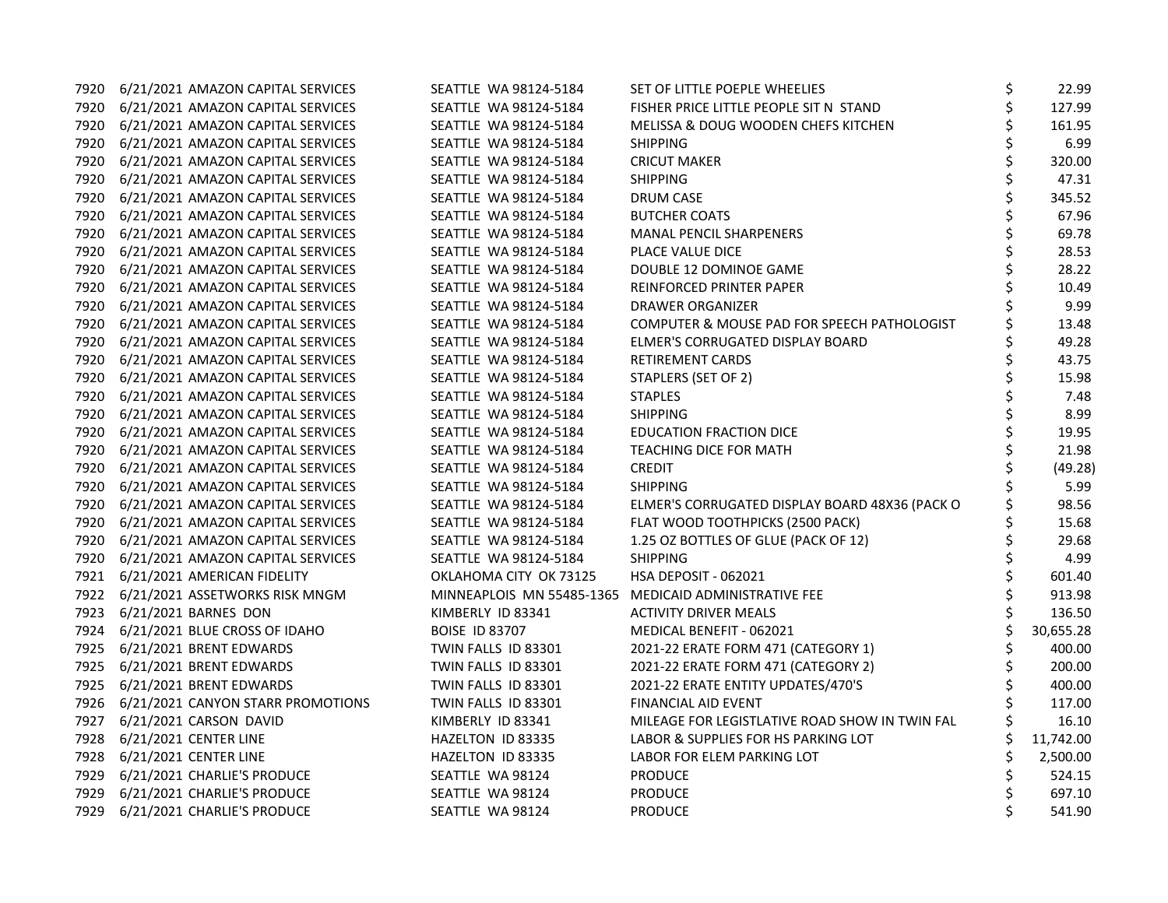| 7920 | 6/21/2021 AMAZON CAPITAL SERVICES      | SEATTLE WA 98124-5184     | SET OF LITTLE POEPLE WHEELIES                  | \$<br>22.99   |
|------|----------------------------------------|---------------------------|------------------------------------------------|---------------|
|      | 7920 6/21/2021 AMAZON CAPITAL SERVICES | SEATTLE WA 98124-5184     | FISHER PRICE LITTLE PEOPLE SIT N STAND         | \$<br>127.99  |
| 7920 | 6/21/2021 AMAZON CAPITAL SERVICES      | SEATTLE WA 98124-5184     | MELISSA & DOUG WOODEN CHEFS KITCHEN            | \$<br>161.95  |
| 7920 | 6/21/2021 AMAZON CAPITAL SERVICES      | SEATTLE WA 98124-5184     | SHIPPING                                       | \$<br>6.99    |
| 7920 | 6/21/2021 AMAZON CAPITAL SERVICES      | SEATTLE WA 98124-5184     | <b>CRICUT MAKER</b>                            | \$<br>320.00  |
| 7920 | 6/21/2021 AMAZON CAPITAL SERVICES      | SEATTLE WA 98124-5184     | SHIPPING                                       | \$<br>47.31   |
|      | 7920 6/21/2021 AMAZON CAPITAL SERVICES | SEATTLE WA 98124-5184     | <b>DRUM CASE</b>                               | \$<br>345.52  |
| 7920 | 6/21/2021 AMAZON CAPITAL SERVICES      | SEATTLE WA 98124-5184     | <b>BUTCHER COATS</b>                           | 67.96         |
| 7920 | 6/21/2021 AMAZON CAPITAL SERVICES      | SEATTLE WA 98124-5184     | <b>MANAL PENCIL SHARPENERS</b>                 | \$<br>69.78   |
| 7920 | 6/21/2021 AMAZON CAPITAL SERVICES      | SEATTLE WA 98124-5184     | PLACE VALUE DICE                               | \$<br>28.53   |
| 7920 | 6/21/2021 AMAZON CAPITAL SERVICES      | SEATTLE WA 98124-5184     | DOUBLE 12 DOMINOE GAME                         | \$<br>28.22   |
| 7920 | 6/21/2021 AMAZON CAPITAL SERVICES      | SEATTLE WA 98124-5184     | REINFORCED PRINTER PAPER                       | \$<br>10.49   |
|      | 7920 6/21/2021 AMAZON CAPITAL SERVICES | SEATTLE WA 98124-5184     | DRAWER ORGANIZER                               | 9.99          |
| 7920 | 6/21/2021 AMAZON CAPITAL SERVICES      | SEATTLE WA 98124-5184     | COMPUTER & MOUSE PAD FOR SPEECH PATHOLOGIST    | 13.48         |
| 7920 | 6/21/2021 AMAZON CAPITAL SERVICES      | SEATTLE WA 98124-5184     | ELMER'S CORRUGATED DISPLAY BOARD               | \$<br>49.28   |
| 7920 | 6/21/2021 AMAZON CAPITAL SERVICES      | SEATTLE WA 98124-5184     | RETIREMENT CARDS                               | \$<br>43.75   |
| 7920 | 6/21/2021 AMAZON CAPITAL SERVICES      | SEATTLE WA 98124-5184     | STAPLERS (SET OF 2)                            | \$<br>15.98   |
| 7920 | 6/21/2021 AMAZON CAPITAL SERVICES      | SEATTLE WA 98124-5184     | <b>STAPLES</b>                                 | \$<br>7.48    |
|      | 7920 6/21/2021 AMAZON CAPITAL SERVICES | SEATTLE WA 98124-5184     | <b>SHIPPING</b>                                | 8.99          |
| 7920 | 6/21/2021 AMAZON CAPITAL SERVICES      | SEATTLE WA 98124-5184     | <b>EDUCATION FRACTION DICE</b>                 | 19.95         |
| 7920 | 6/21/2021 AMAZON CAPITAL SERVICES      | SEATTLE WA 98124-5184     | <b>TEACHING DICE FOR MATH</b>                  | \$<br>21.98   |
| 7920 | 6/21/2021 AMAZON CAPITAL SERVICES      | SEATTLE WA 98124-5184     | <b>CREDIT</b>                                  | \$<br>(49.28) |
| 7920 | 6/21/2021 AMAZON CAPITAL SERVICES      | SEATTLE WA 98124-5184     | <b>SHIPPING</b>                                | 5.99          |
| 7920 | 6/21/2021 AMAZON CAPITAL SERVICES      | SEATTLE WA 98124-5184     | ELMER'S CORRUGATED DISPLAY BOARD 48X36 (PACK O | \$<br>98.56   |
|      | 7920 6/21/2021 AMAZON CAPITAL SERVICES | SEATTLE WA 98124-5184     | FLAT WOOD TOOTHPICKS (2500 PACK)               | 15.68         |
| 7920 | 6/21/2021 AMAZON CAPITAL SERVICES      | SEATTLE WA 98124-5184     | 1.25 OZ BOTTLES OF GLUE (PACK OF 12)           | \$<br>29.68   |
| 7920 | 6/21/2021 AMAZON CAPITAL SERVICES      | SEATTLE WA 98124-5184     | <b>SHIPPING</b>                                | \$<br>4.99    |
| 7921 | 6/21/2021 AMERICAN FIDELITY            | OKLAHOMA CITY OK 73125    | HSA DEPOSIT - 062021                           | \$<br>601.40  |
|      | 7922 6/21/2021 ASSETWORKS RISK MNGM    | MINNEAPLOIS MN 55485-1365 | MEDICAID ADMINISTRATIVE FEE                    | \$<br>913.98  |
|      | 7923 6/21/2021 BARNES DON              | KIMBERLY ID 83341         | <b>ACTIVITY DRIVER MEALS</b>                   | \$<br>136.50  |
| 7924 | 6/21/2021 BLUE CROSS OF IDAHO          | <b>BOISE ID 83707</b>     | MEDICAL BENEFIT - 062021                       | 30,655.28     |
| 7925 | 6/21/2021 BRENT EDWARDS                | TWIN FALLS ID 83301       | 2021-22 ERATE FORM 471 (CATEGORY 1)            | \$<br>400.00  |
| 7925 | 6/21/2021 BRENT EDWARDS                | TWIN FALLS ID 83301       | 2021-22 ERATE FORM 471 (CATEGORY 2)            | \$<br>200.00  |
| 7925 | 6/21/2021 BRENT EDWARDS                | TWIN FALLS ID 83301       | 2021-22 ERATE ENTITY UPDATES/470'S             | \$<br>400.00  |
|      | 7926 6/21/2021 CANYON STARR PROMOTIONS | TWIN FALLS ID 83301       | FINANCIAL AID EVENT                            | 117.00        |
|      | 7927 6/21/2021 CARSON DAVID            | KIMBERLY ID 83341         | MILEAGE FOR LEGISTLATIVE ROAD SHOW IN TWIN FAL | 16.10         |
| 7928 | 6/21/2021 CENTER LINE                  | HAZELTON ID 83335         | LABOR & SUPPLIES FOR HS PARKING LOT            | 11,742.00     |
| 7928 | 6/21/2021 CENTER LINE                  | HAZELTON ID 83335         | LABOR FOR ELEM PARKING LOT                     | 2,500.00      |
| 7929 | 6/21/2021 CHARLIE'S PRODUCE            | SEATTLE WA 98124          | <b>PRODUCE</b>                                 | 524.15        |
| 7929 | 6/21/2021 CHARLIE'S PRODUCE            | SEATTLE WA 98124          | <b>PRODUCE</b>                                 | \$<br>697.10  |
| 7929 | 6/21/2021 CHARLIE'S PRODUCE            | SEATTLE WA 98124          | <b>PRODUCE</b>                                 | \$<br>541.90  |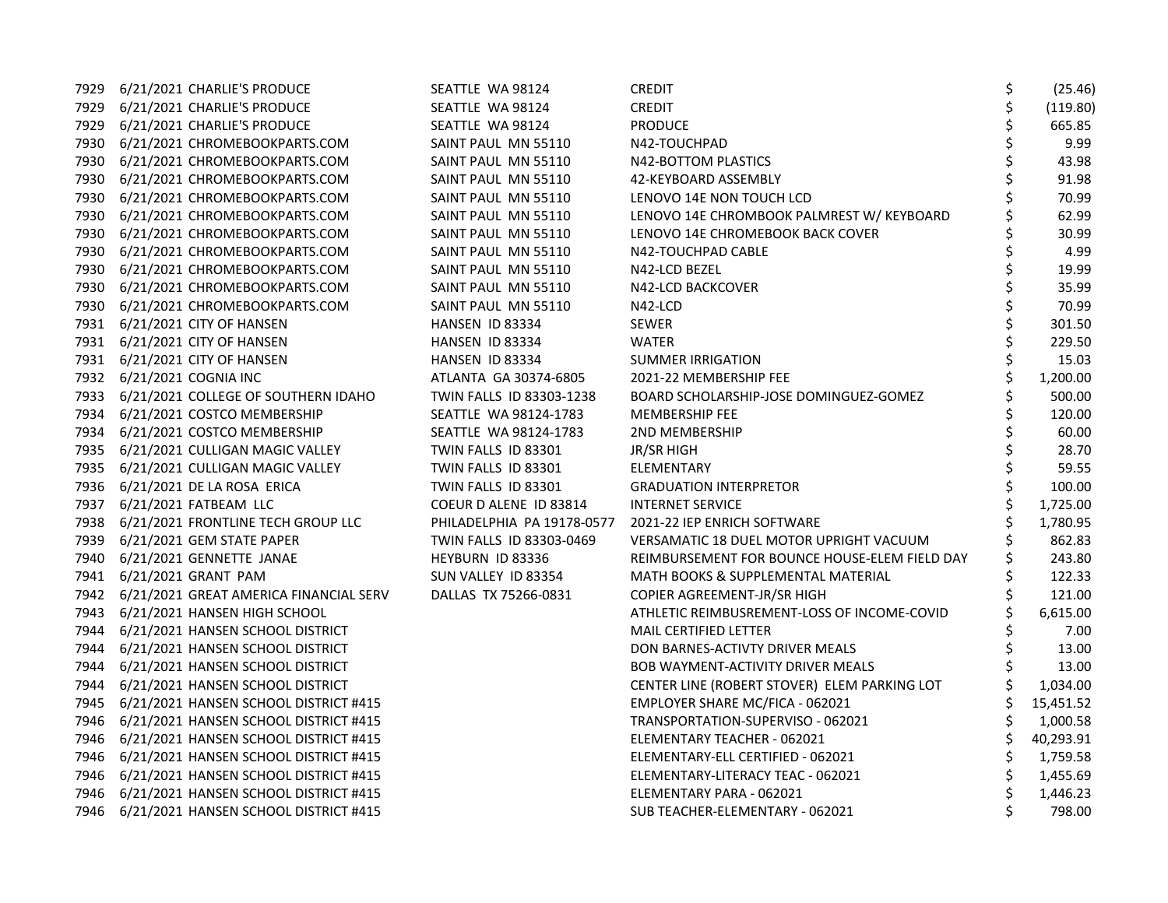| 7929 | 6/21/2021 CHARLIE'S PRODUCE                 | SEATTLE WA 98124           | CREDIT                                        | \$<br>(25.46) |
|------|---------------------------------------------|----------------------------|-----------------------------------------------|---------------|
| 7929 | 6/21/2021 CHARLIE'S PRODUCE                 | SEATTLE WA 98124           | <b>CREDIT</b>                                 | (119.80)      |
| 7929 | 6/21/2021 CHARLIE'S PRODUCE                 | SEATTLE WA 98124           | <b>PRODUCE</b>                                | 665.85        |
| 7930 | 6/21/2021 CHROMEBOOKPARTS.COM               | SAINT PAUL MN 55110        | N42-TOUCHPAD                                  | 9.99          |
| 7930 | 6/21/2021 CHROMEBOOKPARTS.COM               | SAINT PAUL MN 55110        | N42-BOTTOM PLASTICS                           | 43.98         |
|      | 7930 6/21/2021 CHROMEBOOKPARTS.COM          | SAINT PAUL MN 55110        | 42-KEYBOARD ASSEMBLY                          | 91.98         |
|      | 7930 6/21/2021 CHROMEBOOKPARTS.COM          | SAINT PAUL MN 55110        | LENOVO 14E NON TOUCH LCD                      | 70.99         |
| 7930 | 6/21/2021 CHROMEBOOKPARTS.COM               | SAINT PAUL MN 55110        | LENOVO 14E CHROMBOOK PALMREST W/ KEYBOARD     | 62.99         |
| 7930 | 6/21/2021 CHROMEBOOKPARTS.COM               | SAINT PAUL MN 55110        | LENOVO 14E CHROMEBOOK BACK COVER              | 30.99         |
| 7930 | 6/21/2021 CHROMEBOOKPARTS.COM               | SAINT PAUL MN 55110        | N42-TOUCHPAD CABLE                            | 4.99          |
| 7930 | 6/21/2021 CHROMEBOOKPARTS.COM               | SAINT PAUL MN 55110        | N42-LCD BEZEL                                 | 19.99         |
|      | 7930 6/21/2021 CHROMEBOOKPARTS.COM          | SAINT PAUL MN 55110        | N42-LCD BACKCOVER                             | 35.99         |
|      | 7930 6/21/2021 CHROMEBOOKPARTS.COM          | SAINT PAUL MN 55110        | N42-LCD                                       | 70.99         |
|      | 7931 6/21/2021 CITY OF HANSEN               | HANSEN ID 83334            | <b>SEWER</b>                                  | 301.50        |
|      | 7931 6/21/2021 CITY OF HANSEN               | HANSEN ID 83334            | <b>WATER</b>                                  | 229.50        |
|      | 7931 6/21/2021 CITY OF HANSEN               | HANSEN ID 83334            | <b>SUMMER IRRIGATION</b>                      | 15.03         |
|      | 7932 6/21/2021 COGNIA INC                   | ATLANTA GA 30374-6805      | 2021-22 MEMBERSHIP FEE                        | 1,200.00      |
|      | 7933 6/21/2021 COLLEGE OF SOUTHERN IDAHO    | TWIN FALLS ID 83303-1238   | BOARD SCHOLARSHIP-JOSE DOMINGUEZ-GOMEZ        | 500.00        |
|      | 7934 6/21/2021 COSTCO MEMBERSHIP            | SEATTLE WA 98124-1783      | <b>MEMBERSHIP FEE</b>                         | 120.00        |
| 7934 | 6/21/2021 COSTCO MEMBERSHIP                 | SEATTLE WA 98124-1783      | <b>2ND MEMBERSHIP</b>                         | 60.00         |
| 7935 | 6/21/2021 CULLIGAN MAGIC VALLEY             | TWIN FALLS ID 83301        | <b>JR/SR HIGH</b>                             | 28.70         |
| 7935 | 6/21/2021 CULLIGAN MAGIC VALLEY             | TWIN FALLS ID 83301        | ELEMENTARY                                    | 59.55         |
|      | 7936 6/21/2021 DE LA ROSA ERICA             | TWIN FALLS ID 83301        | <b>GRADUATION INTERPRETOR</b>                 | 100.00        |
|      | 7937 6/21/2021 FATBEAM LLC                  | COEUR D ALENE ID 83814     | <b>INTERNET SERVICE</b>                       | 1,725.00      |
|      | 7938 6/21/2021 FRONTLINE TECH GROUP LLC     | PHILADELPHIA PA 19178-0577 | 2021-22 IEP ENRICH SOFTWARE                   | 1,780.95      |
| 7939 | 6/21/2021 GEM STATE PAPER                   | TWIN FALLS ID 83303-0469   | VERSAMATIC 18 DUEL MOTOR UPRIGHT VACUUM       | 862.83        |
| 7940 | 6/21/2021 GENNETTE JANAE                    | HEYBURN ID 83336           | REIMBURSEMENT FOR BOUNCE HOUSE-ELEM FIELD DAY | 243.80        |
|      | 7941 6/21/2021 GRANT PAM                    | SUN VALLEY ID 83354        | MATH BOOKS & SUPPLEMENTAL MATERIAL            | 122.33        |
|      | 7942 6/21/2021 GREAT AMERICA FINANCIAL SERV | DALLAS TX 75266-0831       | COPIER AGREEMENT-JR/SR HIGH                   | 121.00        |
|      | 7943 6/21/2021 HANSEN HIGH SCHOOL           |                            | ATHLETIC REIMBUSREMENT-LOSS OF INCOME-COVID   | 6,615.00      |
| 7944 | 6/21/2021 HANSEN SCHOOL DISTRICT            |                            | <b>MAIL CERTIFIED LETTER</b>                  | 7.00          |
| 7944 | 6/21/2021 HANSEN SCHOOL DISTRICT            |                            | DON BARNES-ACTIVTY DRIVER MEALS               | 13.00         |
| 7944 | 6/21/2021 HANSEN SCHOOL DISTRICT            |                            | BOB WAYMENT-ACTIVITY DRIVER MEALS             | 13.00         |
| 7944 | 6/21/2021 HANSEN SCHOOL DISTRICT            |                            | CENTER LINE (ROBERT STOVER) ELEM PARKING LOT  | 1,034.00      |
|      | 7945 6/21/2021 HANSEN SCHOOL DISTRICT #415  |                            | EMPLOYER SHARE MC/FICA - 062021               | 15,451.52     |
|      | 7946 6/21/2021 HANSEN SCHOOL DISTRICT #415  |                            | TRANSPORTATION-SUPERVISO - 062021             | 1,000.58      |
|      | 7946 6/21/2021 HANSEN SCHOOL DISTRICT #415  |                            | ELEMENTARY TEACHER - 062021                   | 40,293.91     |
| 7946 | 6/21/2021 HANSEN SCHOOL DISTRICT #415       |                            | ELEMENTARY-ELL CERTIFIED - 062021             | 1,759.58      |
| 7946 | 6/21/2021 HANSEN SCHOOL DISTRICT #415       |                            | ELEMENTARY-LITERACY TEAC - 062021             | 1,455.69      |
| 7946 | 6/21/2021 HANSEN SCHOOL DISTRICT #415       |                            | ELEMENTARY PARA - 062021                      | 1,446.23      |
| 7946 | 6/21/2021 HANSEN SCHOOL DISTRICT #415       |                            | SUB TEACHER-ELEMENTARY - 062021               | 798.00        |
|      |                                             |                            |                                               |               |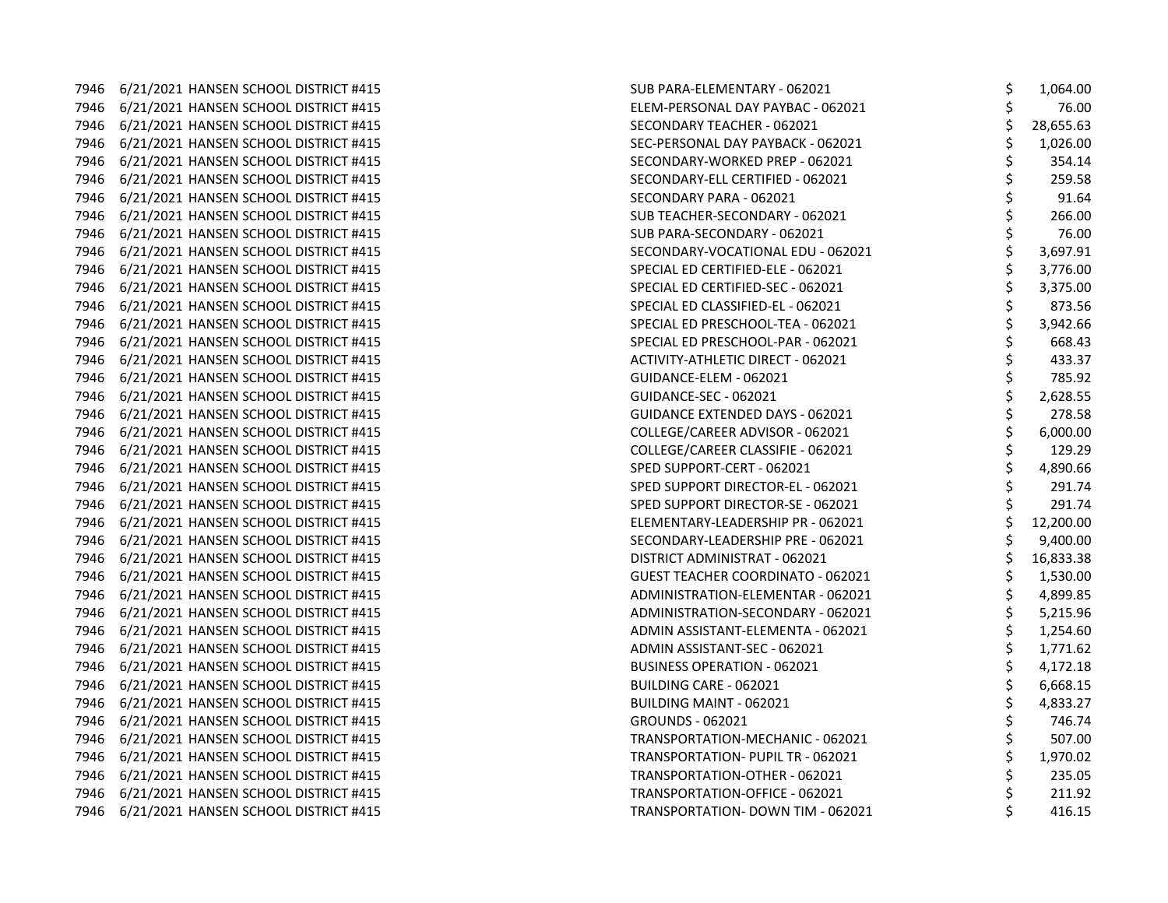7946 6/21/2021 HANSEN SCHOOL DISTRICT #415 7946 6/21/2021 HANSEN SCHOOL DISTRICT #415 7946 6/21/2021 HANSEN SCHOOL DISTRICT #415 7946 6/21/2021 HANSEN SCHOOL DISTRICT #415 7946 6/21/2021 HANSEN SCHOOL DISTRICT #415 7946 6/21/2021 HANSEN SCHOOL DISTRICT #415 7946 6/21/2021 HANSEN SCHOOL DISTRICT #415 7946 6/21/2021 HANSEN SCHOOL DISTRICT #415 7946 6/21/2021 HANSEN SCHOOL DISTRICT #415 7946 6/21/2021 HANSEN SCHOOL DISTRICT #415 7946 6/21/2021 HANSEN SCHOOL DISTRICT #415 7946 6/21/2021 HANSEN SCHOOL DISTRICT #415 7946 6/21/2021 HANSEN SCHOOL DISTRICT #415 7946 6/21/2021 HANSEN SCHOOL DISTRICT #415 7946 6/21/2021 HANSEN SCHOOL DISTRICT #415 7946 6/21/2021 HANSEN SCHOOL DISTRICT #415 7946 6/21/2021 HANSEN SCHOOL DISTRICT #415 7946 6/21/2021 HANSEN SCHOOL DISTRICT #415 7946 6/21/2021 HANSEN SCHOOL DISTRICT #415 7946 6/21/2021 HANSEN SCHOOL DISTRICT #415 7946 6/21/2021 HANSEN SCHOOL DISTRICT #415 7946 6/21/2021 HANSEN SCHOOL DISTRICT #415 7946 6/21/2021 HANSEN SCHOOL DISTRICT #415 7946 6/21/2021 HANSEN SCHOOL DISTRICT #415 7946 6/21/2021 HANSEN SCHOOL DISTRICT #415 7946 6/21/2021 HANSEN SCHOOL DISTRICT #415 7946 6/21/2021 HANSEN SCHOOL DISTRICT #415 7946 6/21/2021 HANSEN SCHOOL DISTRICT #415 7946 6/21/2021 HANSEN SCHOOL DISTRICT #415 7946 6/21/2021 HANSEN SCHOOL DISTRICT #415 7946 6/21/2021 HANSEN SCHOOL DISTRICT #415 7946 6/21/2021 HANSEN SCHOOL DISTRICT #415 7946 6/21/2021 HANSEN SCHOOL DISTRICT #415 7946 6/21/2021 HANSEN SCHOOL DISTRICT #415 7946 6/21/2021 HANSEN SCHOOL DISTRICT #415 7946 6/21/2021 HANSEN SCHOOL DISTRICT #415 7946 6/21/2021 HANSEN SCHOOL DISTRICT #415 7946 6/21/2021 HANSEN SCHOOL DISTRICT #415 7946 6/21/2021 HANSEN SCHOOL DISTRICT #415 7946 6/21/2021 HANSEN SCHOOL DISTRICT #415 7946 6/21/2021 HANSEN SCHOOL DISTRICT #415

| SUB PARA-ELEMENTARY - 062021             | Ş           | 1,064.00  |
|------------------------------------------|-------------|-----------|
| ELEM-PERSONAL DAY PAYBAC - 062021        |             | 76.00     |
| SECONDARY TEACHER - 062021               | \$\$\$      | 28,655.63 |
| SEC-PERSONAL DAY PAYBACK - 062021        |             | 1,026.00  |
| SECONDARY-WORKED PREP - 062021           |             | 354.14    |
| SECONDARY-ELL CERTIFIED - 062021         |             | 259.58    |
| SECONDARY PARA - 062021                  |             | 91.64     |
| SUB TEACHER-SECONDARY - 062021           | ややや ややや     | 266.00    |
| SUB PARA-SECONDARY - 062021              |             | 76.00     |
| SECONDARY-VOCATIONAL EDU - 062021        |             | 3,697.91  |
| SPECIAL ED CERTIFIED-ELE - 062021        |             | 3,776.00  |
| SPECIAL ED CERTIFIED-SEC - 062021        |             | 3,375.00  |
| SPECIAL ED CLASSIFIED-EL - 062021        | \$\$\$\$    | 873.56    |
| SPECIAL ED PRESCHOOL-TEA - 062021        |             | 3,942.66  |
| SPECIAL ED PRESCHOOL-PAR - 062021        | \$          | 668.43    |
| <b>ACTIVITY-ATHLETIC DIRECT - 062021</b> | \$          | 433.37    |
| GUIDANCE-ELEM - 062021                   | \$\$\$\$    | 785.92    |
| <b>GUIDANCE-SEC - 062021</b>             |             | 2,628.55  |
| <b>GUIDANCE EXTENDED DAYS - 062021</b>   |             | 278.58    |
| COLLEGE/CAREER ADVISOR - 062021          |             | 6,000.00  |
| COLLEGE/CAREER CLASSIFIE - 062021        |             | 129.29    |
| SPED SUPPORT-CERT - 062021               | ややや         | 4,890.66  |
| SPED SUPPORT DIRECTOR-EL - 062021        |             | 291.74    |
| SPED SUPPORT DIRECTOR-SE - 062021        |             | 291.74    |
| ELEMENTARY-LEADERSHIP PR - 062021        |             | 12,200.00 |
| SECONDARY-LEADERSHIP PRE - 062021        | \$          | 9,400.00  |
| DISTRICT ADMINISTRAT - 062021            | \$          | 16,833.38 |
| <b>GUEST TEACHER COORDINATO - 062021</b> | \$          | 1,530.00  |
| ADMINISTRATION-ELEMENTAR - 062021        |             | 4,899.85  |
| ADMINISTRATION-SECONDARY - 062021        | \$\$\$\$    | 5,215.96  |
| ADMIN ASSISTANT-ELEMENTA - 062021        |             | 1,254.60  |
| ADMIN ASSISTANT-SEC - 062021             |             | 1,771.62  |
| <b>BUSINESS OPERATION - 062021</b>       | \$<br>\$    | 4,172.18  |
| BUILDING CARE - 062021                   |             | 6,668.15  |
| BUILDING MAINT - 062021                  |             | 4,833.27  |
| GROUNDS - 062021                         | \$ \$ \$ \$ | 746.74    |
| TRANSPORTATION-MECHANIC - 062021         |             | 507.00    |
| TRANSPORTATION- PUPIL TR - 062021        |             | 1,970.02  |
| TRANSPORTATION-OTHER - 062021            | \$          | 235.05    |
| TRANSPORTATION-OFFICE - 062021           | \$          | 211.92    |
| TRANSPORTATION- DOWN TIM - 062021        | \$          | 416.15    |
|                                          |             |           |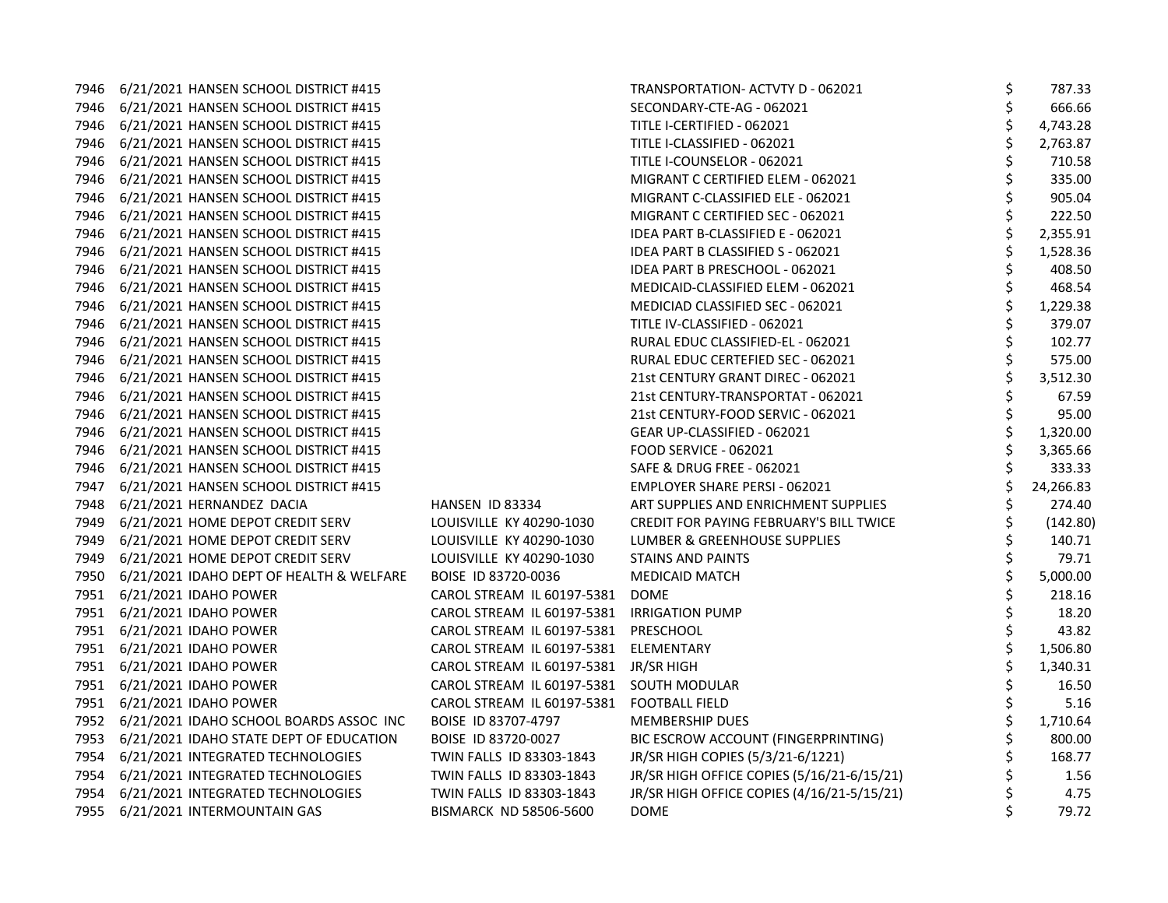| 7946 | 6/21/2021 HANSEN SCHOOL DISTRICT #415        |                                            | TRANSPORTATION- ACTVTY D - 062021          | \$<br>787.33    |
|------|----------------------------------------------|--------------------------------------------|--------------------------------------------|-----------------|
|      | 7946 6/21/2021 HANSEN SCHOOL DISTRICT #415   |                                            | SECONDARY-CTE-AG - 062021                  | \$<br>666.66    |
| 7946 | 6/21/2021 HANSEN SCHOOL DISTRICT #415        |                                            | TITLE I-CERTIFIED - 062021                 | 4,743.28        |
| 7946 | 6/21/2021 HANSEN SCHOOL DISTRICT #415        |                                            | TITLE I-CLASSIFIED - 062021                | 2,763.87        |
| 7946 | 6/21/2021 HANSEN SCHOOL DISTRICT #415        |                                            | TITLE I-COUNSELOR - 062021                 | \$<br>710.58    |
| 7946 | 6/21/2021 HANSEN SCHOOL DISTRICT #415        |                                            | MIGRANT C CERTIFIED ELEM - 062021          | \$<br>335.00    |
|      | 7946 6/21/2021 HANSEN SCHOOL DISTRICT #415   |                                            | MIGRANT C-CLASSIFIED ELE - 062021          | 905.04          |
| 7946 | 6/21/2021 HANSEN SCHOOL DISTRICT #415        |                                            | MIGRANT C CERTIFIED SEC - 062021           | \$<br>222.50    |
| 7946 | 6/21/2021 HANSEN SCHOOL DISTRICT #415        |                                            | IDEA PART B-CLASSIFIED E - 062021          | \$<br>2,355.91  |
| 7946 | 6/21/2021 HANSEN SCHOOL DISTRICT #415        |                                            | IDEA PART B CLASSIFIED S - 062021          | \$<br>1,528.36  |
| 7946 | 6/21/2021 HANSEN SCHOOL DISTRICT #415        |                                            | IDEA PART B PRESCHOOL - 062021             | \$<br>408.50    |
| 7946 | 6/21/2021 HANSEN SCHOOL DISTRICT #415        |                                            | MEDICAID-CLASSIFIED ELEM - 062021          | \$<br>468.54    |
| 7946 | 6/21/2021 HANSEN SCHOOL DISTRICT #415        |                                            | MEDICIAD CLASSIFIED SEC - 062021           | \$<br>1,229.38  |
| 7946 | 6/21/2021 HANSEN SCHOOL DISTRICT #415        |                                            | TITLE IV-CLASSIFIED - 062021               | 379.07          |
| 7946 | 6/21/2021 HANSEN SCHOOL DISTRICT #415        |                                            | RURAL EDUC CLASSIFIED-EL - 062021          | \$<br>102.77    |
| 7946 | 6/21/2021 HANSEN SCHOOL DISTRICT #415        |                                            | RURAL EDUC CERTEFIED SEC - 062021          | \$<br>575.00    |
| 7946 | 6/21/2021 HANSEN SCHOOL DISTRICT #415        |                                            | 21st CENTURY GRANT DIREC - 062021          | \$<br>3,512.30  |
| 7946 | 6/21/2021 HANSEN SCHOOL DISTRICT #415        |                                            | 21st CENTURY-TRANSPORTAT - 062021          | \$<br>67.59     |
| 7946 | 6/21/2021 HANSEN SCHOOL DISTRICT #415        |                                            | 21st CENTURY-FOOD SERVIC - 062021          | \$<br>95.00     |
| 7946 | 6/21/2021 HANSEN SCHOOL DISTRICT #415        |                                            | GEAR UP-CLASSIFIED - 062021                | \$<br>1,320.00  |
| 7946 | 6/21/2021 HANSEN SCHOOL DISTRICT #415        |                                            | FOOD SERVICE - 062021                      | 3,365.66        |
| 7946 | 6/21/2021 HANSEN SCHOOL DISTRICT #415        |                                            | <b>SAFE &amp; DRUG FREE - 062021</b>       | \$<br>333.33    |
| 7947 | 6/21/2021 HANSEN SCHOOL DISTRICT #415        |                                            | EMPLOYER SHARE PERSI - 062021              | \$<br>24,266.83 |
| 7948 | 6/21/2021 HERNANDEZ DACIA                    | HANSEN ID 83334                            | ART SUPPLIES AND ENRICHMENT SUPPLIES       | 274.40          |
| 7949 | 6/21/2021 HOME DEPOT CREDIT SERV             | LOUISVILLE KY 40290-1030                   | CREDIT FOR PAYING FEBRUARY'S BILL TWICE    | (142.80)        |
| 7949 | 6/21/2021 HOME DEPOT CREDIT SERV             | LOUISVILLE KY 40290-1030                   | LUMBER & GREENHOUSE SUPPLIES               | \$<br>140.71    |
| 7949 | 6/21/2021 HOME DEPOT CREDIT SERV             | LOUISVILLE KY 40290-1030                   | STAINS AND PAINTS                          | \$<br>79.71     |
| 7950 | 6/21/2021 IDAHO DEPT OF HEALTH & WELFARE     | BOISE ID 83720-0036                        | <b>MEDICAID MATCH</b>                      | \$<br>5,000.00  |
|      | 7951 6/21/2021 IDAHO POWER                   | CAROL STREAM IL 60197-5381                 | DOME                                       | 218.16          |
|      | 7951 6/21/2021 IDAHO POWER                   | CAROL STREAM IL 60197-5381 IRRIGATION PUMP |                                            | 18.20           |
| 7951 | 6/21/2021 IDAHO POWER                        | CAROL STREAM IL 60197-5381                 | PRESCHOOL                                  | \$<br>43.82     |
| 7951 | 6/21/2021 IDAHO POWER                        | CAROL STREAM IL 60197-5381 ELEMENTARY      |                                            | \$<br>1,506.80  |
| 7951 | 6/21/2021 IDAHO POWER                        | CAROL STREAM IL 60197-5381                 | JR/SR HIGH                                 | \$<br>1,340.31  |
|      | 7951 6/21/2021 IDAHO POWER                   | CAROL STREAM IL 60197-5381                 | SOUTH MODULAR                              | \$<br>16.50     |
|      | 7951 6/21/2021 IDAHO POWER                   | CAROL STREAM IL 60197-5381                 | <b>FOOTBALL FIELD</b>                      | \$<br>5.16      |
|      | 7952 6/21/2021 IDAHO SCHOOL BOARDS ASSOC INC | BOISE ID 83707-4797                        | <b>MEMBERSHIP DUES</b>                     | 1,710.64        |
| 7953 | 6/21/2021 IDAHO STATE DEPT OF EDUCATION      | BOISE ID 83720-0027                        | BIC ESCROW ACCOUNT (FINGERPRINTING)        | 800.00          |
| 7954 | 6/21/2021 INTEGRATED TECHNOLOGIES            | TWIN FALLS ID 83303-1843                   | JR/SR HIGH COPIES (5/3/21-6/1221)          | \$<br>168.77    |
| 7954 | 6/21/2021 INTEGRATED TECHNOLOGIES            | TWIN FALLS ID 83303-1843                   | JR/SR HIGH OFFICE COPIES (5/16/21-6/15/21) | 1.56            |
|      | 7954 6/21/2021 INTEGRATED TECHNOLOGIES       | TWIN FALLS ID 83303-1843                   | JR/SR HIGH OFFICE COPIES (4/16/21-5/15/21) | \$<br>4.75      |
|      | 7955 6/21/2021 INTERMOUNTAIN GAS             | <b>BISMARCK ND 58506-5600</b>              | <b>DOME</b>                                | \$<br>79.72     |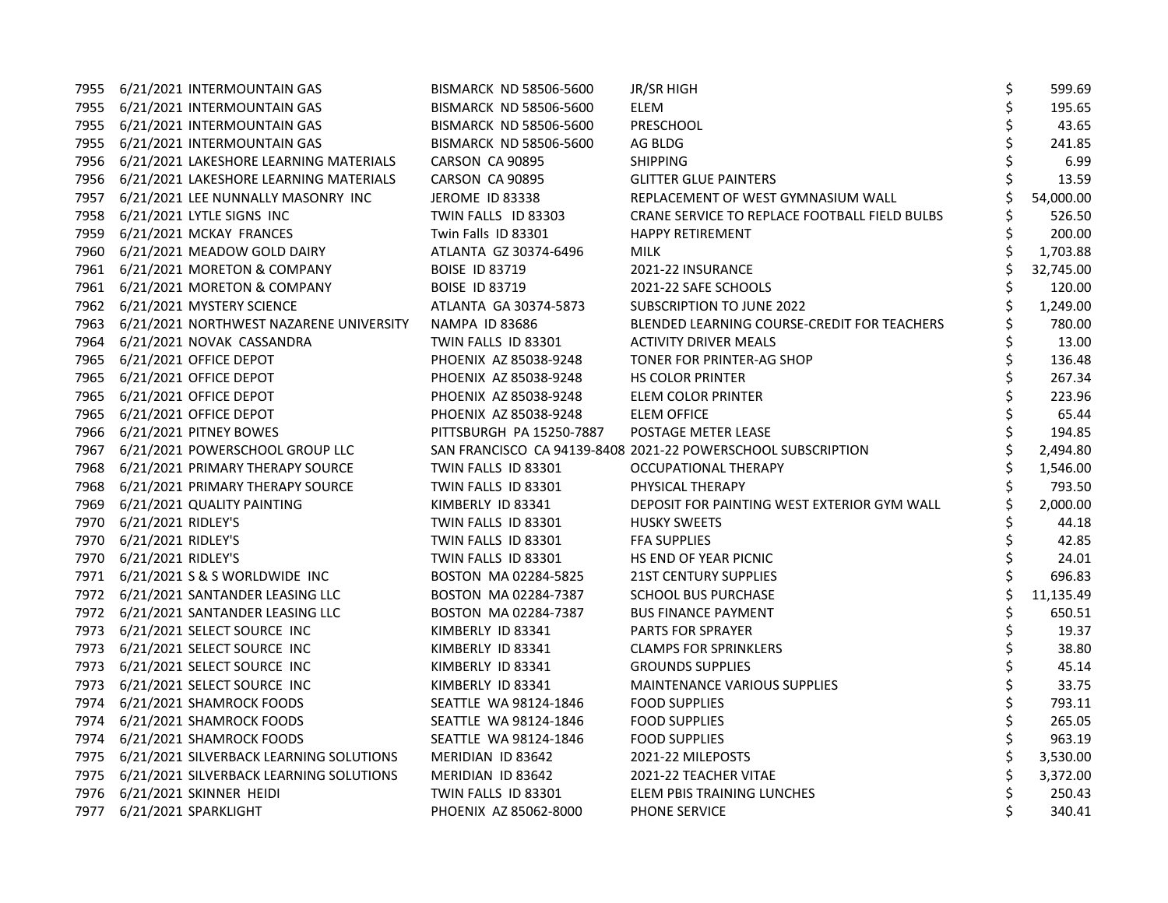|      | 7955 6/21/2021 INTERMOUNTAIN GAS             | <b>BISMARCK ND 58506-5600</b> | JR/SR HIGH                                                   | \$<br>599.69    |
|------|----------------------------------------------|-------------------------------|--------------------------------------------------------------|-----------------|
|      | 7955 6/21/2021 INTERMOUNTAIN GAS             | <b>BISMARCK ND 58506-5600</b> | <b>ELEM</b>                                                  | \$<br>195.65    |
|      | 7955 6/21/2021 INTERMOUNTAIN GAS             | <b>BISMARCK ND 58506-5600</b> | PRESCHOOL                                                    | \$<br>43.65     |
|      | 7955 6/21/2021 INTERMOUNTAIN GAS             | <b>BISMARCK ND 58506-5600</b> | AG BLDG                                                      | \$<br>241.85    |
|      | 7956 6/21/2021 LAKESHORE LEARNING MATERIALS  | CARSON CA 90895               | <b>SHIPPING</b>                                              | \$<br>6.99      |
|      | 7956 6/21/2021 LAKESHORE LEARNING MATERIALS  | CARSON CA 90895               | <b>GLITTER GLUE PAINTERS</b>                                 | 13.59           |
|      | 7957 6/21/2021 LEE NUNNALLY MASONRY INC      | JEROME ID 83338               | REPLACEMENT OF WEST GYMNASIUM WALL                           | 54,000.00       |
|      | 7958 6/21/2021 LYTLE SIGNS INC               | TWIN FALLS ID 83303           | CRANE SERVICE TO REPLACE FOOTBALL FIELD BULBS                | 526.50          |
| 7959 | 6/21/2021 MCKAY FRANCES                      | Twin Falls ID 83301           | <b>HAPPY RETIREMENT</b>                                      | 200.00          |
|      | 7960 6/21/2021 MEADOW GOLD DAIRY             | ATLANTA GZ 30374-6496         | <b>MILK</b>                                                  | \$<br>1,703.88  |
|      | 7961 6/21/2021 MORETON & COMPANY             | <b>BOISE ID 83719</b>         | 2021-22 INSURANCE                                            | \$<br>32,745.00 |
|      | 7961 6/21/2021 MORETON & COMPANY             | <b>BOISE ID 83719</b>         | 2021-22 SAFE SCHOOLS                                         | 120.00          |
|      | 7962 6/21/2021 MYSTERY SCIENCE               | ATLANTA GA 30374-5873         | SUBSCRIPTION TO JUNE 2022                                    | 1,249.00        |
|      | 7963 6/21/2021 NORTHWEST NAZARENE UNIVERSITY | <b>NAMPA ID 83686</b>         | BLENDED LEARNING COURSE-CREDIT FOR TEACHERS                  | 780.00          |
|      | 7964 6/21/2021 NOVAK CASSANDRA               | TWIN FALLS ID 83301           | <b>ACTIVITY DRIVER MEALS</b>                                 | \$<br>13.00     |
|      | 7965 6/21/2021 OFFICE DEPOT                  | PHOENIX AZ 85038-9248         | TONER FOR PRINTER-AG SHOP                                    | \$<br>136.48    |
|      | 7965 6/21/2021 OFFICE DEPOT                  | PHOENIX AZ 85038-9248         | <b>HS COLOR PRINTER</b>                                      | \$<br>267.34    |
|      | 7965 6/21/2021 OFFICE DEPOT                  | PHOENIX AZ 85038-9248         | ELEM COLOR PRINTER                                           | 223.96          |
|      | 7965 6/21/2021 OFFICE DEPOT                  | PHOENIX AZ 85038-9248         | <b>ELEM OFFICE</b>                                           | \$<br>65.44     |
|      | 7966 6/21/2021 PITNEY BOWES                  | PITTSBURGH PA 15250-7887      | POSTAGE METER LEASE                                          | \$<br>194.85    |
|      | 7967 6/21/2021 POWERSCHOOL GROUP LLC         |                               | SAN FRANCISCO CA 94139-8408 2021-22 POWERSCHOOL SUBSCRIPTION | \$<br>2,494.80  |
| 7968 | 6/21/2021 PRIMARY THERAPY SOURCE             | TWIN FALLS ID 83301           | OCCUPATIONAL THERAPY                                         | \$<br>1,546.00  |
|      | 7968 6/21/2021 PRIMARY THERAPY SOURCE        | TWIN FALLS ID 83301           | PHYSICAL THERAPY                                             | \$<br>793.50    |
|      | 7969 6/21/2021 QUALITY PAINTING              | KIMBERLY ID 83341             | DEPOSIT FOR PAINTING WEST EXTERIOR GYM WALL                  | 2,000.00        |
|      | 7970 6/21/2021 RIDLEY'S                      | TWIN FALLS ID 83301           | <b>HUSKY SWEETS</b>                                          | 44.18           |
|      | 7970 6/21/2021 RIDLEY'S                      | TWIN FALLS ID 83301           | <b>FFA SUPPLIES</b>                                          | \$<br>42.85     |
|      | 7970 6/21/2021 RIDLEY'S                      | TWIN FALLS ID 83301           | HS END OF YEAR PICNIC                                        | \$<br>24.01     |
|      | 7971 6/21/2021 S & S WORLDWIDE INC           | BOSTON MA 02284-5825          | <b>21ST CENTURY SUPPLIES</b>                                 | \$<br>696.83    |
|      | 7972 6/21/2021 SANTANDER LEASING LLC         | BOSTON MA 02284-7387          | <b>SCHOOL BUS PURCHASE</b>                                   | \$<br>11,135.49 |
|      | 7972 6/21/2021 SANTANDER LEASING LLC         | BOSTON MA 02284-7387          | <b>BUS FINANCE PAYMENT</b>                                   | \$<br>650.51    |
|      | 7973 6/21/2021 SELECT SOURCE INC             | KIMBERLY ID 83341             | <b>PARTS FOR SPRAYER</b>                                     | \$<br>19.37     |
|      | 7973 6/21/2021 SELECT SOURCE INC             | KIMBERLY ID 83341             | <b>CLAMPS FOR SPRINKLERS</b>                                 | \$<br>38.80     |
|      | 7973 6/21/2021 SELECT SOURCE INC             | KIMBERLY ID 83341             | <b>GROUNDS SUPPLIES</b>                                      | \$<br>45.14     |
|      | 7973 6/21/2021 SELECT SOURCE INC             | KIMBERLY ID 83341             | <b>MAINTENANCE VARIOUS SUPPLIES</b>                          | \$<br>33.75     |
|      | 7974 6/21/2021 SHAMROCK FOODS                | SEATTLE WA 98124-1846         | <b>FOOD SUPPLIES</b>                                         | \$<br>793.11    |
|      | 7974 6/21/2021 SHAMROCK FOODS                | SEATTLE WA 98124-1846         | <b>FOOD SUPPLIES</b>                                         | 265.05          |
|      | 7974 6/21/2021 SHAMROCK FOODS                | SEATTLE WA 98124-1846         | <b>FOOD SUPPLIES</b>                                         | 963.19          |
|      | 7975 6/21/2021 SILVERBACK LEARNING SOLUTIONS | MERIDIAN ID 83642             | 2021-22 MILEPOSTS                                            | 3,530.00        |
|      | 7975 6/21/2021 SILVERBACK LEARNING SOLUTIONS | MERIDIAN ID 83642             | 2021-22 TEACHER VITAE                                        | 3,372.00        |
|      | 7976 6/21/2021 SKINNER HEIDI                 | TWIN FALLS ID 83301           | ELEM PBIS TRAINING LUNCHES                                   | \$<br>250.43    |
|      | 7977 6/21/2021 SPARKLIGHT                    | PHOENIX AZ 85062-8000         | PHONE SERVICE                                                | \$<br>340.41    |